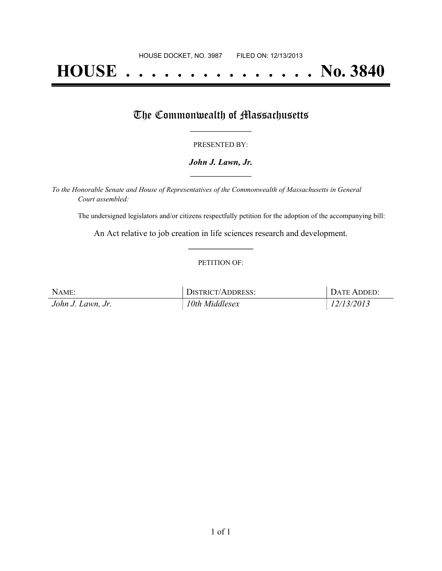# **HOUSE . . . . . . . . . . . . . . . No. 3840**

### The Commonwealth of Massachusetts

#### PRESENTED BY:

#### *John J. Lawn, Jr.* **\_\_\_\_\_\_\_\_\_\_\_\_\_\_\_\_\_**

*To the Honorable Senate and House of Representatives of the Commonwealth of Massachusetts in General Court assembled:*

The undersigned legislators and/or citizens respectfully petition for the adoption of the accompanying bill:

An Act relative to job creation in life sciences research and development. **\_\_\_\_\_\_\_\_\_\_\_\_\_\_\_**

#### PETITION OF:

| NAME:             | DISTRICT/ADDRESS: | DATE ADDED: |
|-------------------|-------------------|-------------|
| John J. Lawn, Jr. | 10th Middlesex    | 12/13/2013  |